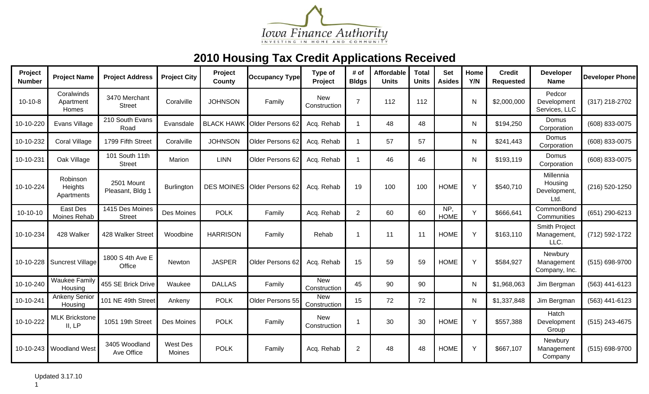

| Project<br><b>Number</b> | <b>Project Name</b>               | <b>Project Address</b>           | <b>Project City</b>       | Project<br>County | <b>Occupancy Type</b>       | Type of<br>Project         | # of<br><b>Bldgs</b> | Affordable<br><b>Units</b> | <b>Total</b><br><b>Units</b> | <b>Set</b><br><b>Asides</b> | Home<br>Y/N | <b>Credit</b><br><b>Requested</b> | <b>Developer</b><br><b>Name</b>              | <b>Developer Phone</b> |
|--------------------------|-----------------------------------|----------------------------------|---------------------------|-------------------|-----------------------------|----------------------------|----------------------|----------------------------|------------------------------|-----------------------------|-------------|-----------------------------------|----------------------------------------------|------------------------|
| $10-10-8$                | Coralwinds<br>Apartment<br>Homes  | 3470 Merchant<br><b>Street</b>   | Coralville                | <b>JOHNSON</b>    | Family                      | <b>New</b><br>Construction | $\overline{7}$       | 112                        | 112                          |                             | N           | \$2,000,000                       | Pedcor<br>Development<br>Services, LLC       | (317) 218-2702         |
| 10-10-220                | Evans Village                     | 210 South Evans<br>Road          | Evansdale                 | <b>BLACK HAWK</b> | Older Persons 62            | Acq. Rehab                 | $\overline{1}$       | 48                         | 48                           |                             | N           | \$194,250                         | Domus<br>Corporation                         | (608) 833-0075         |
| 10-10-232                | Coral Village                     | 1799 Fifth Street                | Coralville                | <b>JOHNSON</b>    | Older Persons 62            | Acq. Rehab                 | $\mathbf 1$          | 57                         | 57                           |                             | N           | \$241,443                         | Domus<br>Corporation                         | (608) 833-0075         |
| 10-10-231                | Oak Village                       | 101 South 11th<br><b>Street</b>  | Marion                    | <b>LINN</b>       | Older Persons 62            | Acq. Rehab                 | $\overline{1}$       | 46                         | 46                           |                             | N           | \$193,119                         | Domus<br>Corporation                         | (608) 833-0075         |
| 10-10-224                | Robinson<br>Heights<br>Apartments | 2501 Mount<br>Pleasant, Bldg 1   | Burlington                |                   | DES MOINES Older Persons 62 | Acq. Rehab                 | 19                   | 100                        | 100                          | <b>HOME</b>                 | Y           | \$540,710                         | Millennia<br>Housing<br>Development,<br>Ltd. | (216) 520-1250         |
| $10-10-10$               | East Des<br>Moines Rehab          | 1415 Des Moines<br><b>Street</b> | Des Moines                | <b>POLK</b>       | Family                      | Acq. Rehab                 | $\overline{2}$       | 60                         | 60                           | NP,<br><b>HOME</b>          | Y           | \$666,641                         | CommonBond<br>Communities                    | (651) 290-6213         |
| 10-10-234                | 428 Walker                        | 428 Walker Street                | Woodbine                  | <b>HARRISON</b>   | Family                      | Rehab                      |                      | 11                         | 11                           | <b>HOME</b>                 | Y           | \$163,110                         | Smith Project<br>Management,<br>LLC.         | (712) 592-1722         |
|                          | 10-10-228 Suncrest Village        | 1800 S 4th Ave E<br>Office       | <b>Newton</b>             | <b>JASPER</b>     | Older Persons 62            | Acq. Rehab                 | 15                   | 59                         | 59                           | <b>HOME</b>                 | Y           | \$584,927                         | Newbury<br>Management<br>Company, Inc.       | (515) 698-9700         |
| 10-10-240                | <b>Waukee Family</b><br>Housing   | 455 SE Brick Drive               | Waukee                    | <b>DALLAS</b>     | Family                      | <b>New</b><br>Construction | 45                   | 90                         | 90                           |                             | N           | \$1,968,063                       | Jim Bergman                                  | (563) 441-6123         |
| 10-10-241                | <b>Ankeny Senior</b><br>Housing   | 101 NE 49th Street               | Ankeny                    | <b>POLK</b>       | Older Persons 55            | <b>New</b><br>Construction | 15                   | 72                         | 72                           |                             | N           | \$1,337,848                       | Jim Bergman                                  | (563) 441-6123         |
| 10-10-222                | <b>MLK Brickstone</b><br>II, LP   | 1051 19th Street                 | Des Moines                | <b>POLK</b>       | Family                      | <b>New</b><br>Construction |                      | 30                         | 30                           | <b>HOME</b>                 | Y           | \$557,388                         | Hatch<br>Development<br>Group                | (515) 243-4675         |
|                          | 10-10-243 Woodland West           | 3405 Woodland<br>Ave Office      | <b>West Des</b><br>Moines | <b>POLK</b>       | Family                      | Acq. Rehab                 | $\overline{2}$       | 48                         | 48                           | <b>HOME</b>                 | Y           | \$667,107                         | Newbury<br>Management<br>Company             | (515) 698-9700         |

1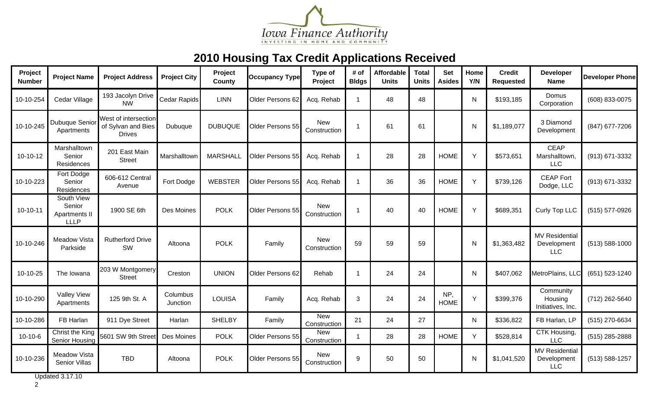

| Project<br><b>Number</b> | <b>Project Name</b>                                  | <b>Project Address</b>                                      | <b>Project City</b>  | Project<br>County | <b>Occupancy Type</b> | Type of<br>Project         | # of<br><b>Bldgs</b> | Affordable<br><b>Units</b> | <b>Total</b><br><b>Units</b> | <b>Set</b><br><b>Asides</b> | Home<br>Y/N | <b>Credit</b><br>Requested | <b>Developer</b><br><b>Name</b>                    | <b>Developer Phone</b> |
|--------------------------|------------------------------------------------------|-------------------------------------------------------------|----------------------|-------------------|-----------------------|----------------------------|----------------------|----------------------------|------------------------------|-----------------------------|-------------|----------------------------|----------------------------------------------------|------------------------|
| 10-10-254                | Cedar Village                                        | 193 Jacolyn Drive<br><b>NW</b>                              | Cedar Rapids         | <b>LINN</b>       | Older Persons 62      | Acq. Rehab                 | $\overline{1}$       | 48                         | 48                           |                             | N           | \$193,185                  | Domus<br>Corporation                               | (608) 833-0075         |
| 10-10-245                | Dubuque Senior<br>Apartments                         | West of intersection<br>of Sylvan and Bies<br><b>Drives</b> | Dubuque              | <b>DUBUQUE</b>    | Older Persons 55      | <b>New</b><br>Construction |                      | 61                         | 61                           |                             | N           | \$1,189,077                | 3 Diamond<br>Development                           | (847) 677-7206         |
| $10-10-12$               | Marshalltown<br>Senior<br><b>Residences</b>          | 201 East Main<br><b>Street</b>                              | Marshalltown         | <b>MARSHALL</b>   | Older Persons 55      | Acq. Rehab                 |                      | 28                         | 28                           | <b>HOME</b>                 | Y           | \$573,651                  | <b>CEAP</b><br>Marshalltown,<br><b>LLC</b>         | (913) 671-3332         |
| 10-10-223                | Fort Dodge<br>Senior<br>Residences                   | 606-612 Central<br>Avenue                                   | Fort Dodge           | <b>WEBSTER</b>    | Older Persons 55      | Acq. Rehab                 | -1                   | 36                         | 36                           | <b>HOME</b>                 | Y           | \$739,126                  | <b>CEAP Fort</b><br>Dodge, LLC                     | (913) 671-3332         |
| $10-10-11$               | South View<br>Senior<br>Apartments II<br><b>LLLP</b> | 1900 SE 6th                                                 | Des Moines           | <b>POLK</b>       | Older Persons 55      | <b>New</b><br>Construction |                      | 40                         | 40                           | <b>HOME</b>                 | Y           | \$689,351                  | Curly Top LLC                                      | (515) 577-0926         |
| 10-10-246                | Meadow Vista<br>Parkside                             | <b>Rutherford Drive</b><br>SW                               | Altoona              | <b>POLK</b>       | Family                | <b>New</b><br>Construction | 59                   | 59                         | 59                           |                             | N           | \$1,363,482                | <b>MV Residential</b><br>Development<br><b>LLC</b> | $(513) 588 - 1000$     |
| 10-10-25                 | The Iowana                                           | 203 W Montgomery<br><b>Street</b>                           | Creston              | <b>UNION</b>      | Older Persons 62      | Rehab                      |                      | 24                         | 24                           |                             | N           | \$407,062                  | MetroPlains, LLC                                   | (651) 523-1240         |
| 10-10-290                | <b>Valley View</b><br>Apartments                     | 125 9th St. A                                               | Columbus<br>Junction | <b>LOUISA</b>     | Family                | Acq. Rehab                 | 3                    | 24                         | 24                           | NP,<br><b>HOME</b>          | Y           | \$399,376                  | Community<br>Housing<br>Initiatives, Inc.          | (712) 262-5640         |
| 10-10-286                | FB Harlan                                            | 911 Dye Street                                              | Harlan               | <b>SHELBY</b>     | Family                | <b>New</b><br>Construction | 21                   | 24                         | 27                           |                             | N.          | \$336,822                  | FB Harlan, LP                                      | (515) 270-6634         |
| $10 - 10 - 6$            | Christ the King<br>Senior Housing                    | 5601 SW 9th Street                                          | Des Moines           | <b>POLK</b>       | Older Persons 55      | <b>New</b><br>Construction |                      | 28                         | 28                           | <b>HOME</b>                 | Y           | \$528,814                  | CTK Housing,<br><b>LLC</b>                         | (515) 285-2888         |
| 10-10-236                | <b>Meadow Vista</b><br>Senior Villas                 | <b>TBD</b>                                                  | Altoona              | <b>POLK</b>       | Older Persons 55      | <b>New</b><br>Construction | 9                    | 50                         | 50                           |                             | N           | \$1,041,520                | <b>MV Residential</b><br>Development<br><b>LLC</b> | (513) 588-1257         |

Updated 3.17.10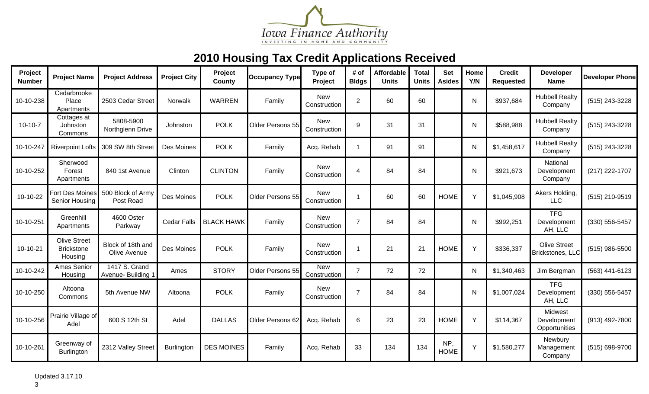

| Project<br><b>Number</b> | <b>Project Name</b>                                 | <b>Project Address</b>              | <b>Project City</b> | Project<br>County | <b>Occupancy Type</b> | Type of<br>Project         | # of<br><b>Bldgs</b> | Affordable<br><b>Units</b> | <b>Total</b><br><b>Units</b> | <b>Set</b><br><b>Asides</b> | Home<br>Y/N  | <b>Credit</b><br><b>Requested</b> | Developer<br><b>Name</b>                | <b>Developer Phone</b> |
|--------------------------|-----------------------------------------------------|-------------------------------------|---------------------|-------------------|-----------------------|----------------------------|----------------------|----------------------------|------------------------------|-----------------------------|--------------|-----------------------------------|-----------------------------------------|------------------------|
| 10-10-238                | Cedarbrooke<br>Place<br>Apartments                  | 2503 Cedar Street                   | Norwalk             | <b>WARREN</b>     | Family                | <b>New</b><br>Construction | 2                    | 60                         | 60                           |                             | $\mathsf{N}$ | \$937,684                         | <b>Hubbell Realty</b><br>Company        | (515) 243-3228         |
| $10-10-7$                | Cottages at<br>Johnston<br>Commons                  | 5808-5900<br>Northglenn Drive       | Johnston            | <b>POLK</b>       | Older Persons 55      | <b>New</b><br>Construction | 9                    | 31                         | 31                           |                             | N            | \$588,988                         | <b>Hubbell Realty</b><br>Company        | (515) 243-3228         |
| 10-10-247                | <b>Riverpoint Lofts</b>                             | 309 SW 8th Street                   | Des Moines          | <b>POLK</b>       | Family                | Acq. Rehab                 |                      | 91                         | 91                           |                             | N            | \$1,458,617                       | <b>Hubbell Realty</b><br>Company        | (515) 243-3228         |
| 10-10-252                | Sherwood<br>Forest<br>Apartments                    | 840 1st Avenue                      | Clinton             | <b>CLINTON</b>    | Family                | <b>New</b><br>Construction | $\overline{4}$       | 84                         | 84                           |                             | N            | \$921,673                         | National<br>Development<br>Company      | (217) 222-1707         |
| 10-10-22                 | Fort Des Moines<br>Senior Housing                   | 500 Block of Army<br>Post Road      | Des Moines          | <b>POLK</b>       | Older Persons 55      | <b>New</b><br>Construction |                      | 60                         | 60                           | <b>HOME</b>                 | Y            | \$1,045,908                       | Akers Holding,<br><b>LLC</b>            | (515) 210-9519         |
| 10-10-251                | Greenhill<br>Apartments                             | 4600 Oster<br>Parkway               | <b>Cedar Falls</b>  | <b>BLACK HAWK</b> | Family                | <b>New</b><br>Construction | $\overline{7}$       | 84                         | 84                           |                             | N            | \$992,251                         | <b>TFG</b><br>Development<br>AH, LLC    | (330) 556-5457         |
| 10-10-21                 | <b>Olive Street</b><br><b>Brickstone</b><br>Housing | Block of 18th and<br>Olive Avenue   | Des Moines          | <b>POLK</b>       | Family                | <b>New</b><br>Construction |                      | 21                         | 21                           | <b>HOME</b>                 | Y            | \$336,337                         | <b>Olive Street</b><br>Brickstones, LLC | (515) 986-5500         |
| 10-10-242                | Ames Senior<br>Housing                              | 1417 S. Grand<br>Avenue- Building 1 | Ames                | <b>STORY</b>      | Older Persons 55      | <b>New</b><br>Construction | $\overline{7}$       | 72                         | 72                           |                             | N            | \$1,340,463                       | Jim Bergman                             | (563) 441-6123         |
| 10-10-250                | Altoona<br>Commons                                  | 5th Avenue NW                       | Altoona             | <b>POLK</b>       | Family                | <b>New</b><br>Construction | $\overline{7}$       | 84                         | 84                           |                             | N            | \$1,007,024                       | <b>TFG</b><br>Development<br>AH, LLC    | (330) 556-5457         |
| 10-10-256                | Prairie Village of<br>Adel                          | 600 S 12th St                       | Adel                | <b>DALLAS</b>     | Older Persons 62      | Acq. Rehab                 | 6                    | 23                         | 23                           | <b>HOME</b>                 | Y            | \$114,367                         | Midwest<br>Development<br>Opportunities | (913) 492-7800         |
| 10-10-261                | Greenway of<br>Burlington                           | 2312 Valley Street                  | Burlington          | <b>DES MOINES</b> | Family                | Acq. Rehab                 | 33                   | 134                        | 134                          | NP,<br><b>HOME</b>          | Y            | \$1,580,277                       | Newbury<br>Management<br>Company        | (515) 698-9700         |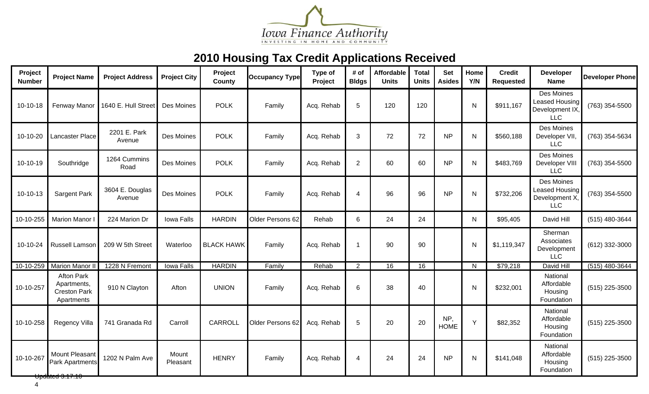

| Project<br><b>Number</b> | <b>Project Name</b>                                                   | <b>Project Address</b>    | <b>Project City</b> | Project<br>County | <b>Occupancy Type</b> | Type of<br>Project | # of<br><b>Bldgs</b>     | <b>Affordable</b><br><b>Units</b> | <b>Total</b><br><b>Units</b> | <b>Set</b><br><b>Asides</b> | Home<br>Y/N  | <b>Credit</b><br><b>Requested</b> | Developer<br><b>Name</b>                                             | <b>Developer Phone</b> |
|--------------------------|-----------------------------------------------------------------------|---------------------------|---------------------|-------------------|-----------------------|--------------------|--------------------------|-----------------------------------|------------------------------|-----------------------------|--------------|-----------------------------------|----------------------------------------------------------------------|------------------------|
| $10-10-18$               | Fenway Manor                                                          | 1640 E. Hull Street       | Des Moines          | <b>POLK</b>       | Family                | Acq. Rehab         | 5                        | 120                               | 120                          |                             | N            | \$911,167                         | Des Moines<br><b>Leased Housing</b><br>Development IX,<br><b>LLC</b> | (763) 354-5500         |
| 10-10-20                 | Lancaster Place                                                       | 2201 E. Park<br>Avenue    | Des Moines          | <b>POLK</b>       | Family                | Acq. Rehab         | 3                        | 72                                | 72                           | <b>NP</b>                   | $\mathsf{N}$ | \$560,188                         | Des Moines<br>Developer VII,<br><b>LLC</b>                           | (763) 354-5634         |
| 10-10-19                 | Southridge                                                            | 1264 Cummins<br>Road      | Des Moines          | <b>POLK</b>       | Family                | Acq. Rehab         | $\mathbf{2}$             | 60                                | 60                           | <b>NP</b>                   | N            | \$483,769                         | Des Moines<br>Developer VIII<br><b>LLC</b>                           | (763) 354-5500         |
| 10-10-13                 | <b>Sargent Park</b>                                                   | 3604 E. Douglas<br>Avenue | Des Moines          | <b>POLK</b>       | Family                | Acq. Rehab         | $\overline{\mathcal{A}}$ | 96                                | 96                           | <b>NP</b>                   | N            | \$732,206                         | Des Moines<br><b>Leased Housing</b><br>Development X<br><b>LLC</b>   | (763) 354-5500         |
| 10-10-255                | Marion Manor I                                                        | 224 Marion Dr             | Iowa Falls          | <b>HARDIN</b>     | Older Persons 62      | Rehab              | 6                        | 24                                | 24                           |                             | N            | \$95,405                          | David Hill                                                           | (515) 480-3644         |
| 10-10-24                 | <b>Russell Lamson</b>                                                 | 209 W 5th Street          | Waterloo            | <b>BLACK HAWK</b> | Family                | Acq. Rehab         | -1                       | 90                                | 90                           |                             | N            | \$1,119,347                       | Sherman<br>Associates<br>Development<br><b>LLC</b>                   | (612) 332-3000         |
| 10-10-259                | Marion Manor I                                                        | 1228 N Fremont            | <b>Iowa Falls</b>   | <b>HARDIN</b>     | Family                | Rehab              | 2                        | 16                                | 16                           |                             | N            | \$79,218                          | David Hill                                                           | $(515)$ 480-3644       |
| 10-10-257                | <b>Afton Park</b><br>Apartments,<br><b>Creston Park</b><br>Apartments | 910 N Clayton             | Afton               | <b>UNION</b>      | Family                | Acq. Rehab         | 6                        | 38                                | 40                           |                             | N            | \$232,001                         | National<br>Affordable<br>Housing<br>Foundation                      | (515) 225-3500         |
| 10-10-258                | Regency Villa                                                         | 741 Granada Rd            | Carroll             | <b>CARROLL</b>    | Older Persons 62      | Acq. Rehab         | 5                        | 20                                | 20                           | NP,<br><b>HOME</b>          | Y            | \$82,352                          | National<br>Affordable<br>Housing<br>Foundation                      | (515) 225-3500         |
| 10-10-267                | Mount Pleasant<br><b>Park Apartments</b><br>opdated 3.17.10           | 1202 N Palm Ave           | Mount<br>Pleasant   | <b>HENRY</b>      | Family                | Acq. Rehab         | 4                        | 24                                | 24                           | <b>NP</b>                   | N            | \$141,048                         | National<br>Affordable<br>Housing<br>Foundation                      | (515) 225-3500         |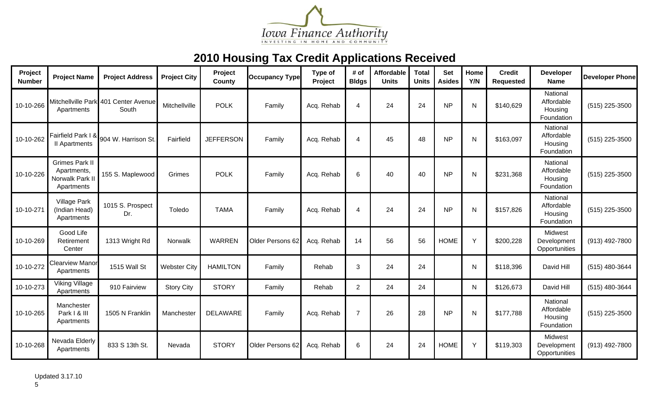

| Project<br><b>Number</b> | <b>Project Name</b>                                                   | <b>Project Address</b>                        | <b>Project City</b> | Project<br><b>County</b> | <b>Occupancy Type</b> | Type of<br>Project | # of<br><b>Bldgs</b> | <b>Affordable</b><br><b>Units</b> | <b>Total</b><br><b>Units</b> | <b>Set</b><br><b>Asides</b> | Home<br>Y/N  | <b>Credit</b><br><b>Requested</b> | <b>Developer</b><br><b>Name</b>                 | <b>Developer Phone</b> |
|--------------------------|-----------------------------------------------------------------------|-----------------------------------------------|---------------------|--------------------------|-----------------------|--------------------|----------------------|-----------------------------------|------------------------------|-----------------------------|--------------|-----------------------------------|-------------------------------------------------|------------------------|
| 10-10-266                | Apartments                                                            | Mitchellville Park 401 Center Avenue<br>South | Mitchellville       | <b>POLK</b>              | Family                | Acq. Rehab         | 4                    | 24                                | 24                           | <b>NP</b>                   | N            | \$140,629                         | National<br>Affordable<br>Housing<br>Foundation | (515) 225-3500         |
| 10-10-262                | Fairfield Park I &<br>II Apartments                                   | 904 W. Harrison St.                           | Fairfield           | <b>JEFFERSON</b>         | Family                | Acq. Rehab         | $\overline{4}$       | 45                                | 48                           | <b>NP</b>                   | N            | \$163,097                         | National<br>Affordable<br>Housing<br>Foundation | (515) 225-3500         |
| 10-10-226                | <b>Grimes Park II</b><br>Apartments,<br>Norwalk Park II<br>Apartments | 155 S. Maplewood                              | Grimes              | <b>POLK</b>              | Family                | Acq. Rehab         | 6                    | 40                                | 40                           | <b>NP</b>                   | N            | \$231,368                         | National<br>Affordable<br>Housing<br>Foundation | (515) 225-3500         |
| 10-10-271                | <b>Village Park</b><br>(Indian Head)<br>Apartments                    | 1015 S. Prospect<br>Dr.                       | Toledo              | <b>TAMA</b>              | Family                | Acq. Rehab         | $\boldsymbol{4}$     | 24                                | 24                           | <b>NP</b>                   | N            | \$157,826                         | National<br>Affordable<br>Housing<br>Foundation | (515) 225-3500         |
| 10-10-269                | Good Life<br>Retirement<br>Center                                     | 1313 Wright Rd                                | Norwalk             | <b>WARREN</b>            | Older Persons 62      | Acq. Rehab         | 14                   | 56                                | 56                           | <b>HOME</b>                 | Y            | \$200,228                         | Midwest<br>Development<br>Opportunities         | (913) 492-7800         |
| 10-10-272                | <b>Clearview Manor</b><br>Apartments                                  | 1515 Wall St                                  | <b>Webster City</b> | <b>HAMILTON</b>          | Family                | Rehab              | 3                    | 24                                | 24                           |                             | $\mathsf{N}$ | \$118,396                         | David Hill                                      | (515) 480-3644         |
| 10-10-273                | <b>Viking Village</b><br>Apartments                                   | 910 Fairview                                  | <b>Story City</b>   | <b>STORY</b>             | Family                | Rehab              | 2                    | 24                                | 24                           |                             | $\mathsf{N}$ | \$126,673                         | David Hill                                      | (515) 480-3644         |
| 10-10-265                | Manchester<br>Park I & III<br>Apartments                              | 1505 N Franklin                               | Manchester          | <b>DELAWARE</b>          | Family                | Acq. Rehab         | $\overline{7}$       | 26                                | 28                           | <b>NP</b>                   | N            | \$177,788                         | National<br>Affordable<br>Housing<br>Foundation | (515) 225-3500         |
| 10-10-268                | Nevada Elderly<br>Apartments                                          | 833 S 13th St.                                | Nevada              | <b>STORY</b>             | Older Persons 62      | Acq. Rehab         | 6                    | 24                                | 24                           | <b>HOME</b>                 | Y            | \$119,303                         | Midwest<br>Development<br>Opportunities         | (913) 492-7800         |